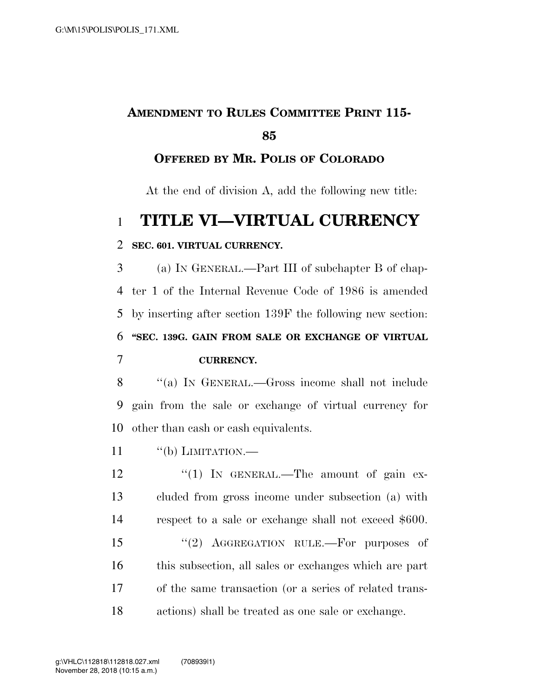## **AMENDMENT TO RULES COMMITTEE PRINT 115-**

## **OFFERED BY MR. POLIS OF COLORADO**

At the end of division A, add the following new title:

## **TITLE VI—VIRTUAL CURRENCY**

## **SEC. 601. VIRTUAL CURRENCY.**

 (a) IN GENERAL.—Part III of subchapter B of chap- ter 1 of the Internal Revenue Code of 1986 is amended by inserting after section 139F the following new section: **''SEC. 139G. GAIN FROM SALE OR EXCHANGE OF VIRTUAL CURRENCY.** 

 ''(a) IN GENERAL.—Gross income shall not include gain from the sale or exchange of virtual currency for other than cash or cash equivalents.

11 "(b) LIMITATION.—

12 "(1) In GENERAL.—The amount of gain ex- cluded from gross income under subsection (a) with respect to a sale or exchange shall not exceed \$600. 15 "(2) AGGREGATION RULE.—For purposes of this subsection, all sales or exchanges which are part of the same transaction (or a series of related trans-actions) shall be treated as one sale or exchange.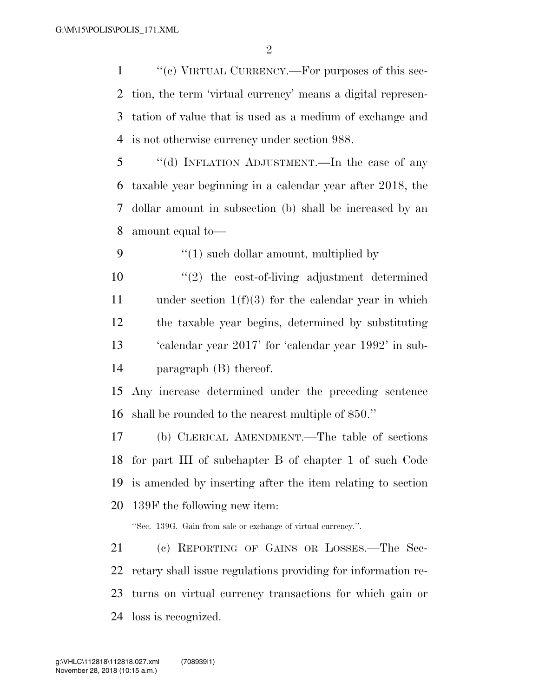$\cdot$  (c) VIRTUAL CURRENCY.—For purposes of this sec- tion, the term 'virtual currency' means a digital represen- tation of value that is used as a medium of exchange and is not otherwise currency under section 988.

 ''(d) INFLATION ADJUSTMENT.—In the case of any taxable year beginning in a calendar year after 2018, the dollar amount in subsection (b) shall be increased by an amount equal to—

9  $\frac{4}{1}$  such dollar amount, multiplied by

 ''(2) the cost-of-living adjustment determined under section 1(f)(3) for the calendar year in which the taxable year begins, determined by substituting 'calendar year 2017' for 'calendar year 1992' in sub-paragraph (B) thereof.

 Any increase determined under the preceding sentence shall be rounded to the nearest multiple of \$50.''

 (b) CLERICAL AMENDMENT.—The table of sections for part III of subchapter B of chapter 1 of such Code is amended by inserting after the item relating to section 139F the following new item:

''Sec. 139G. Gain from sale or exchange of virtual currency.''.

 (c) REPORTING OF GAINS OR LOSSES.—The Sec- retary shall issue regulations providing for information re- turns on virtual currency transactions for which gain or loss is recognized.